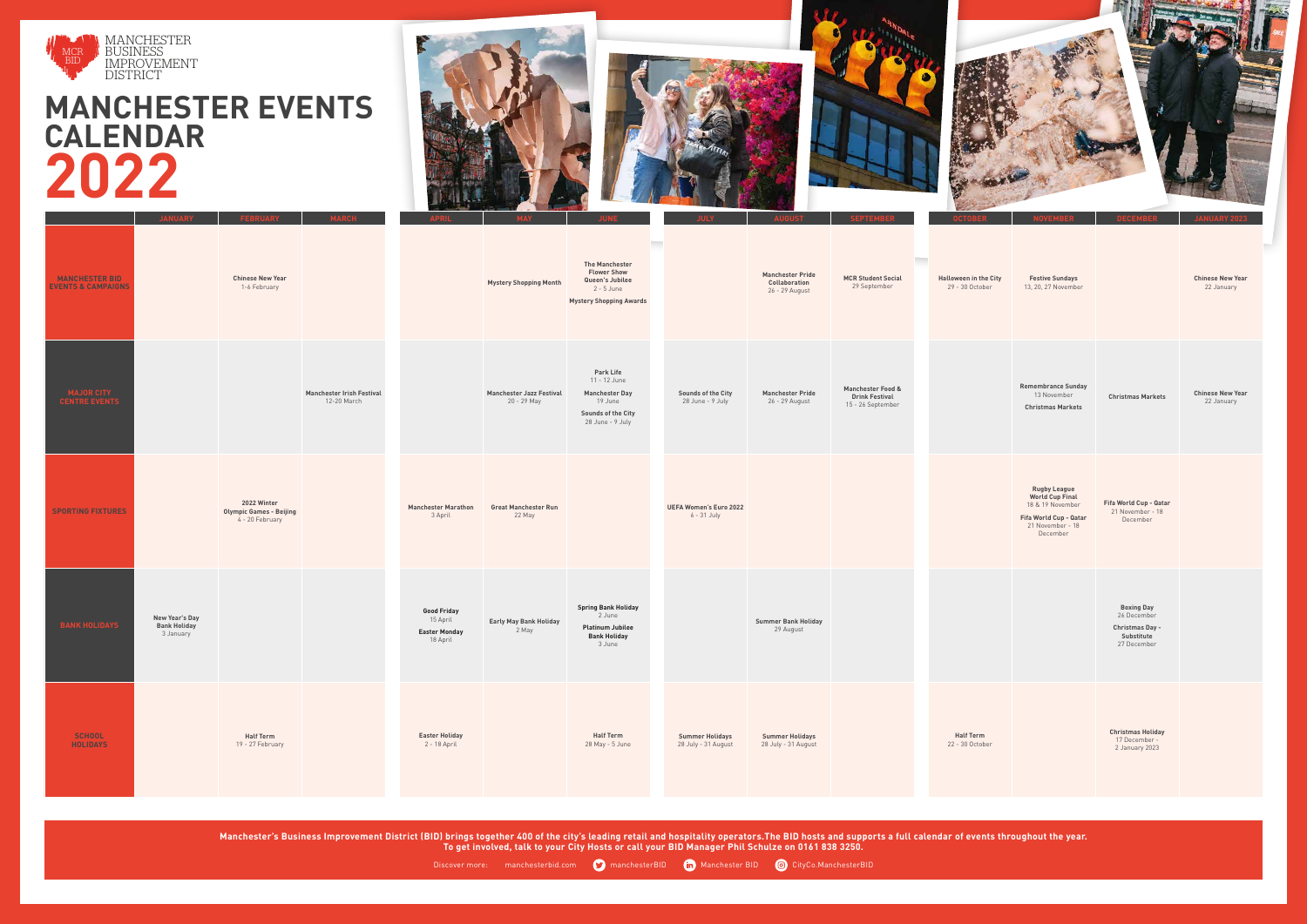## **MANCHESTER EVENTS CALENDAR 2022**





**Manchester's Business Improvement District (BID) brings together 400 of the city's leading retail and hospitality operators.The BID hosts and supports a full calendar of events throughout the year. To get involved, talk to your City Hosts or call your BID Manager Phil Schulze on 0161 838 3250.**



|                                                        | <b>JANUARY</b>                                            | <b>FEBRUARY</b>                                                  | <b>MARCH</b>                                    | <b>APRIL</b>                                                       | <b>MAY</b>                                     | <b>Talent</b><br><b>JUNE</b>                                                                                          |                      |
|--------------------------------------------------------|-----------------------------------------------------------|------------------------------------------------------------------|-------------------------------------------------|--------------------------------------------------------------------|------------------------------------------------|-----------------------------------------------------------------------------------------------------------------------|----------------------|
| <b>MANCHESTER BID</b><br><b>EVENTS &amp; CAMPAIGNS</b> |                                                           | <b>Chinese New Year</b><br>1-6 February                          |                                                 |                                                                    | <b>Mystery Shopping Month</b>                  | <b>The Manchester</b><br><b>Flower Show</b><br>Queen's Jubilee<br>$2 - 5$ June<br><b>Mystery Shopping Awards</b>      |                      |
| <b>MAJOR CITY</b><br><b>CENTRE EVENTS</b>              |                                                           |                                                                  | <b>Manchester Irish Festival</b><br>12-20 March |                                                                    | <b>Manchester Jazz Festival</b><br>20 - 29 May | <b>Park Life</b><br>11 - 12 June<br><b>Manchester Day</b><br>19 June<br><b>Sounds of the City</b><br>28 June - 9 July | So<br>$\overline{c}$ |
| <b>SPORTING FIXTURES</b>                               |                                                           | 2022 Winter<br><b>Olympic Games - Beijing</b><br>4 - 20 February |                                                 | <b>Manchester Marathon</b><br>3 April                              | <b>Great Manchester Run</b><br>22 May          |                                                                                                                       | <b>UEFA</b>          |
| <b>BANK HOLIDAYS</b>                                   | <b>New Year's Day</b><br><b>Bank Holiday</b><br>3 January |                                                                  |                                                 | <b>Good Friday</b><br>15 April<br><b>Easter Monday</b><br>18 April | <b>Early May Bank Holiday</b><br>2 May         | <b>Spring Bank Holiday</b><br>2 June<br><b>Platinum Jubilee</b><br><b>Bank Holiday</b><br>3 June                      |                      |
| <b>SCHOOL</b><br><b>HOLIDAYS</b>                       |                                                           | <b>Half Term</b><br>19 - 27 February                             |                                                 | <b>Easter Holiday</b><br>2 - 18 April                              |                                                | <b>Half Term</b><br>28 May - 5 June                                                                                   | Su<br>28             |